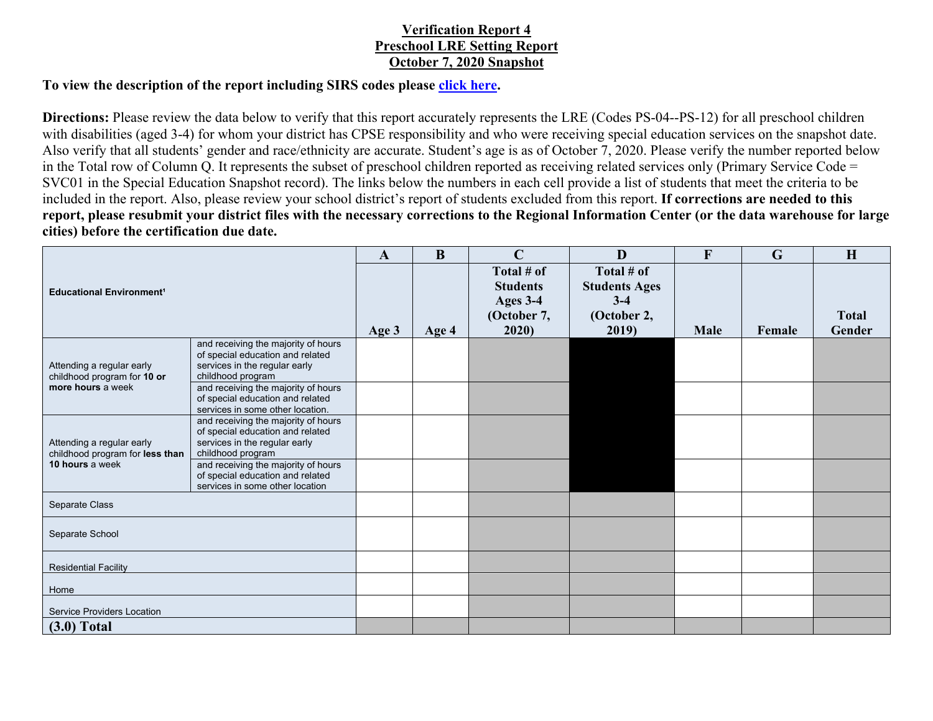## **Verification Report 4 Preschool LRE Setting Report October 7, 2020 Snapshot**

## **To view the description of the report including SIRS codes please click here.**

**Directions:** Please review the data below to verify that this report accurately represents the LRE (Codes PS-04--PS-12) for all preschool children with disabilities (aged 3-4) for whom your district has CPSE responsibility and who were receiving special education services on the snapshot date. Also verify that all students' gender and race/ethnicity are accurate. Student's age is as of October 7, 2020. Please verify the number reported below in the Total row of Column Q. It represents the subset of preschool children reported as receiving related services only (Primary Service Code = SVC01 in the Special Education Snapshot record). The links below the numbers in each cell provide a list of students that meet the criteria to be included in the report. Also, please review your school district's report of students excluded from this report. **If corrections are needed to this report, please resubmit your district files with the necessary corrections to the Regional Information Center (or the data warehouse for large cities) before the certification due date.**

| <b>Educational Environment<sup>1</sup></b>                                      |                                                                                                                               | $\mathbf{A}$ | $\bf{B}$ | $\mathbf C$                   | D                             | $\mathbf{F}$ | $\mathbf G$ | H            |
|---------------------------------------------------------------------------------|-------------------------------------------------------------------------------------------------------------------------------|--------------|----------|-------------------------------|-------------------------------|--------------|-------------|--------------|
|                                                                                 |                                                                                                                               |              |          | Total # of<br><b>Students</b> | Total # of                    |              |             |              |
|                                                                                 |                                                                                                                               |              |          | Ages 3-4                      | <b>Students Ages</b><br>$3-4$ |              |             |              |
|                                                                                 |                                                                                                                               |              |          | (October 7,                   | (October 2,                   |              |             | <b>Total</b> |
|                                                                                 |                                                                                                                               | Age 3        | Age 4    | 2020)                         | 2019)                         | <b>Male</b>  | Female      | Gender       |
| Attending a regular early<br>childhood program for 10 or<br>more hours a week   | and receiving the majority of hours<br>of special education and related<br>services in the regular early                      |              |          |                               |                               |              |             |              |
|                                                                                 | childhood program                                                                                                             |              |          |                               |                               |              |             |              |
|                                                                                 | and receiving the majority of hours<br>of special education and related<br>services in some other location.                   |              |          |                               |                               |              |             |              |
| Attending a regular early<br>childhood program for less than<br>10 hours a week | and receiving the majority of hours<br>of special education and related<br>services in the regular early<br>childhood program |              |          |                               |                               |              |             |              |
|                                                                                 | and receiving the majority of hours<br>of special education and related<br>services in some other location                    |              |          |                               |                               |              |             |              |
| Separate Class                                                                  |                                                                                                                               |              |          |                               |                               |              |             |              |
| Separate School                                                                 |                                                                                                                               |              |          |                               |                               |              |             |              |
| <b>Residential Facility</b>                                                     |                                                                                                                               |              |          |                               |                               |              |             |              |
| Home                                                                            |                                                                                                                               |              |          |                               |                               |              |             |              |
| <b>Service Providers Location</b>                                               |                                                                                                                               |              |          |                               |                               |              |             |              |
| $(3.0)$ Total                                                                   |                                                                                                                               |              |          |                               |                               |              |             |              |